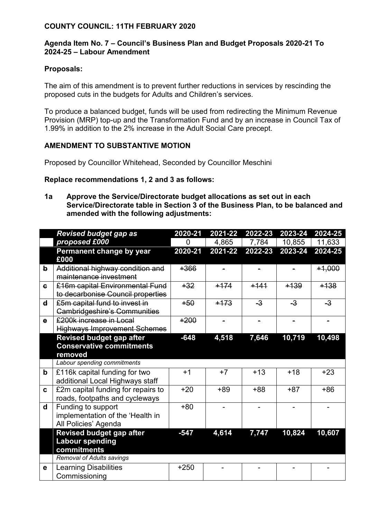## **COUNTY COUNCIL: 11TH FEBRUARY 2020**

### **Agenda Item No. 7 – Council's Business Plan and Budget Proposals 2020-21 To 2024-25 – Labour Amendment**

#### **Proposals:**

The aim of this amendment is to prevent further reductions in services by rescinding the proposed cuts in the budgets for Adults and Children's services.

To produce a balanced budget, funds will be used from redirecting the Minimum Revenue Provision (MRP) top-up and the Transformation Fund and by an increase in Council Tax of 1.99% in addition to the 2% increase in the Adult Social Care precept.

#### **AMENDMENT TO SUBSTANTIVE MOTION**

Proposed by Councillor Whitehead, Seconded by Councillor Meschini

# **Replace recommendations 1, 2 and 3 as follows:**

**1a Approve the Service/Directorate budget allocations as set out in each Service/Directorate table in Section 3 of the Business Plan, to be balanced and amended with the following adjustments:**

|              | <b>Revised budget gap as</b>                                                   |         | 2021-22 | 2022-23 | 2023-24 | 2024-25  |
|--------------|--------------------------------------------------------------------------------|---------|---------|---------|---------|----------|
|              | proposed £000                                                                  | 0       | 4,865   | 7,784   | 10,855  | 11,633   |
|              | Permanent change by year                                                       | 2020-21 | 2021-22 | 2022-23 | 2023-24 | 2024-25  |
|              | £000                                                                           |         |         |         |         |          |
| $\mathbf{b}$ | Additional highway condition and<br>maintenance investment                     | $+366$  |         |         |         | $+1,000$ |
| $\mathbf{c}$ | £16m capital Environmental Fund<br>to decarbonise Council properties           | $+32$   | $+174$  | $+141$  | $+139$  | $+138$   |
| $\mathbf d$  | £5m capital fund to invest in<br><b>Cambridgeshire's Communities</b>           | $+50$   | $+173$  | $-3$    | $-3$    | $-3$     |
| $\mathbf e$  | £200k increase in Local<br><b>Highways Improvement Schemes</b>                 | $+200$  |         |         |         |          |
|              | <b>Revised budget gap after</b>                                                | $-648$  | 4,518   | 7,646   | 10,719  | 10,498   |
|              | <b>Conservative commitments</b>                                                |         |         |         |         |          |
|              | removed                                                                        |         |         |         |         |          |
|              | Labour spending commitments                                                    |         |         |         |         |          |
| $\mathbf b$  | £116k capital funding for two<br>additional Local Highways staff               | $+1$    | $+7$    | $+13$   | $+18$   | $+23$    |
| $\mathbf{c}$ | £2m capital funding for repairs to<br>roads, footpaths and cycleways           | $+20$   | $+89$   | $+88$   | $+87$   | $+86$    |
| $\mathsf{d}$ | Funding to support<br>implementation of the 'Health in<br>All Policies' Agenda | $+80$   |         |         |         |          |
|              | <b>Revised budget gap after</b><br><b>Labour spending</b><br>commitments       | $-547$  | 4,614   | 7,747   | 10,824  | 10,607   |
|              | <b>Removal of Adults savings</b>                                               |         |         |         |         |          |
| е            | <b>Learning Disabilities</b><br>Commissioning                                  | $+250$  |         |         |         |          |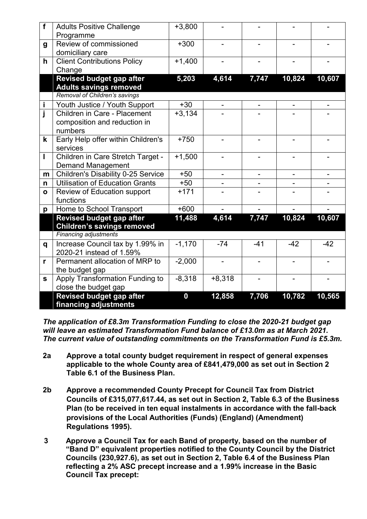| f            | <b>Adults Positive Challenge</b><br>Programme                 | $+3,800$         |                          |                          |        |        |
|--------------|---------------------------------------------------------------|------------------|--------------------------|--------------------------|--------|--------|
| g            | Review of commissioned<br>domiciliary care                    | $+300$           |                          |                          |        |        |
| h            | <b>Client Contributions Policy</b><br>Change                  | $+1,400$         | $\overline{\phantom{0}}$ |                          |        |        |
|              | Revised budget gap after                                      | 5,203            | 4,614                    | 7,747                    | 10,824 | 10,607 |
|              | <b>Adults savings removed</b>                                 |                  |                          |                          |        |        |
|              | Removal of Children's savings                                 |                  |                          |                          |        |        |
| j,           | Youth Justice / Youth Support                                 | $+30$            |                          |                          |        |        |
| Ī            | Children in Care - Placement                                  | $+3,134$         |                          |                          |        |        |
|              | composition and reduction in                                  |                  |                          |                          |        |        |
|              | numbers                                                       |                  |                          |                          |        |        |
| k            | Early Help offer within Children's                            | $+750$           |                          |                          |        |        |
|              | services                                                      |                  |                          |                          |        |        |
| I            | Children in Care Stretch Target -<br><b>Demand Management</b> | $+1,500$         |                          |                          |        |        |
| m            | <b>Children's Disability 0-25 Service</b>                     | $+50$            |                          |                          |        |        |
| n            | <b>Utilisation of Education Grants</b>                        | $+50$            |                          |                          |        |        |
| $\mathbf{o}$ | Review of Education support                                   | $+171$           |                          |                          |        |        |
|              | functions                                                     |                  |                          |                          |        |        |
| p            | Home to School Transport                                      | $+600$           |                          |                          |        |        |
|              | <b>Revised budget gap after</b>                               | 11,488           | 4,614                    | 7,747                    | 10,824 | 10,607 |
|              | <b>Children's savings removed</b>                             |                  |                          |                          |        |        |
|              | <b>Financing adjustments</b>                                  |                  |                          |                          |        |        |
| q            | Increase Council tax by 1.99% in                              | $-1,170$         | $-74$                    | $-41$                    | $-42$  | $-42$  |
|              | 2020-21 instead of 1.59%                                      |                  |                          |                          |        |        |
| r            | Permanent allocation of MRP to                                | $-2,000$         | $\overline{\phantom{a}}$ | $\overline{\phantom{0}}$ |        |        |
|              | the budget gap                                                |                  |                          |                          |        |        |
| S            | Apply Transformation Funding to                               | $-8,318$         | $+8,318$                 |                          |        |        |
|              | close the budget gap                                          |                  |                          |                          |        |        |
|              | <b>Revised budget gap after</b>                               | $\boldsymbol{0}$ | 12,858                   | 7,706                    | 10,782 | 10,565 |
|              | financing adjustments                                         |                  |                          |                          |        |        |

*The application of £8.3m Transformation Funding to close the 2020-21 budget gap will leave an estimated Transformation Fund balance of £13.0m as at March 2021. The current value of outstanding commitments on the Transformation Fund is £5.3m.*

- **2a Approve a total county budget requirement in respect of general expenses applicable to the whole County area of £841,479,000 as set out in Section 2 Table 6.1 of the Business Plan.**
- **2b Approve a recommended County Precept for Council Tax from District Councils of £315,077,617.44, as set out in Section 2, Table 6.3 of the Business Plan (to be received in ten equal instalments in accordance with the fall-back provisions of the Local Authorities (Funds) (England) (Amendment) Regulations 1995).**
- **3 Approve a Council Tax for each Band of property, based on the number of "Band D" equivalent properties notified to the County Council by the District Councils (230,927.6), as set out in Section 2, Table 6.4 of the Business Plan reflecting a 2% ASC precept increase and a 1.99% increase in the Basic Council Tax precept:**